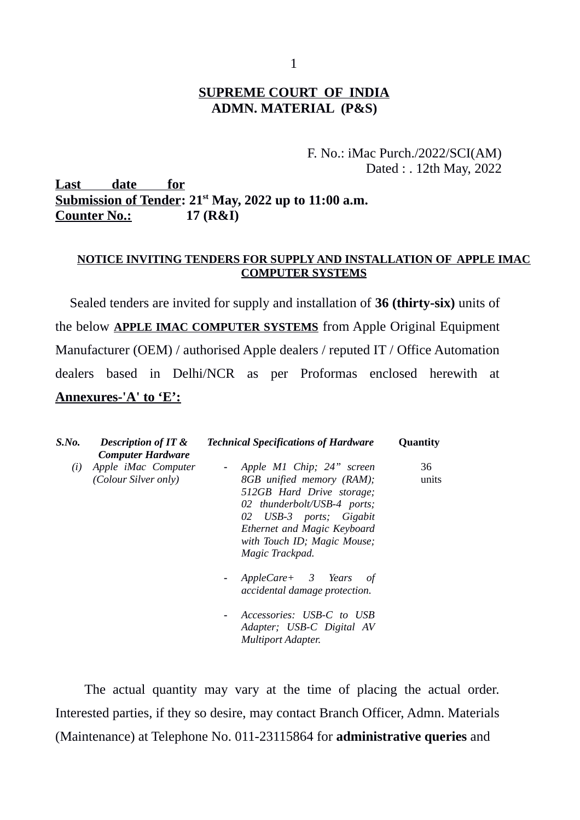#### **SUPREME COURT OF INDIA ADMN. MATERIAL (P&S)**

#### F. No.: iMac Purch./2022/SCI(AM) Dated : . 12th May, 2022

**Last date for Submission of Tender: 21st May, 2022 up to 11:00 a.m. Counter No.: 17 (R&I)**

#### **NOTICE INVITING TENDERS FOR SUPPLY AND INSTALLATION OF APPLE IMAC COMPUTER SYSTEMS**

Sealed tenders are invited for supply and installation of **36 (thirty-six)** units of the below **APPLE IMAC COMPUTER SYSTEMS** from Apple Original Equipment Manufacturer (OEM) / authorised Apple dealers / reputed IT / Office Automation dealers based in Delhi/NCR as per Proformas enclosed herewith at **Annexures-'A' to 'E':**

| S.No. | <b>Description of IT &amp;</b><br><b>Computer Hardware</b> | <b>Technical Specifications of Hardware</b>                                                                                                                                                                                      | Quantity    |
|-------|------------------------------------------------------------|----------------------------------------------------------------------------------------------------------------------------------------------------------------------------------------------------------------------------------|-------------|
| (i)   | Apple iMac Computer<br>(Colour Silver only)                | - Apple M1 Chip; 24" screen<br>8GB unified memory (RAM);<br>512GB Hard Drive storage;<br>02 thunderbolt/USB-4 ports;<br>02 USB-3 ports; Gigabit<br>Ethernet and Magic Keyboard<br>with Touch ID; Magic Mouse;<br>Magic Trackpad. | 36<br>units |
|       |                                                            | AppleCare+ 3 Years of<br>$\sim$<br>accidental damage protection.                                                                                                                                                                 |             |
|       |                                                            | Accessories: USB-C to USB<br>$\blacksquare$<br>Adapter; USB-C Digital AV<br><b>Multiport Adapter.</b>                                                                                                                            |             |

The actual quantity may vary at the time of placing the actual order. Interested parties, if they so desire, may contact Branch Officer, Admn. Materials (Maintenance) at Telephone No. 011-23115864 for **administrative queries** and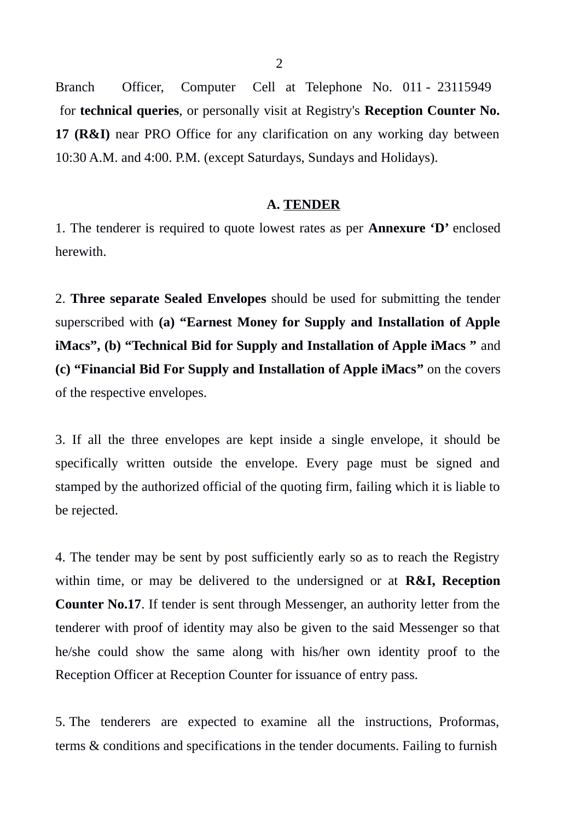Branch Officer, Computer Cell at Telephone No. 011 - 23115949 for **technical queries**, or personally visit at Registry's **Reception Counter No. 17 (R&I)** near PRO Office for any clarification on any working day between 10:30 A.M. and 4:00. P.M. (except Saturdays, Sundays and Holidays).

#### **A. TENDER**

1. The tenderer is required to quote lowest rates as per **Annexure 'D'** enclosed herewith.

2. **Three separate Sealed Envelopes** should be used for submitting the tender superscribed with **(a) "Earnest Money for Supply and Installation of Apple iMacs", (b) "Technical Bid for Supply and Installation of Apple iMacs "** and **(c) "Financial Bid For Supply and Installation of Apple iMacs"** on the covers of the respective envelopes.

3. If all the three envelopes are kept inside a single envelope, it should be specifically written outside the envelope. Every page must be signed and stamped by the authorized official of the quoting firm, failing which it is liable to be rejected.

4. The tender may be sent by post sufficiently early so as to reach the Registry within time, or may be delivered to the undersigned or at **R&I, Reception Counter No.17**. If tender is sent through Messenger, an authority letter from the tenderer with proof of identity may also be given to the said Messenger so that he/she could show the same along with his/her own identity proof to the Reception Officer at Reception Counter for issuance of entry pass.

5. The tenderers are expected to examine all the instructions, Proformas, terms & conditions and specifications in the tender documents. Failing to furnish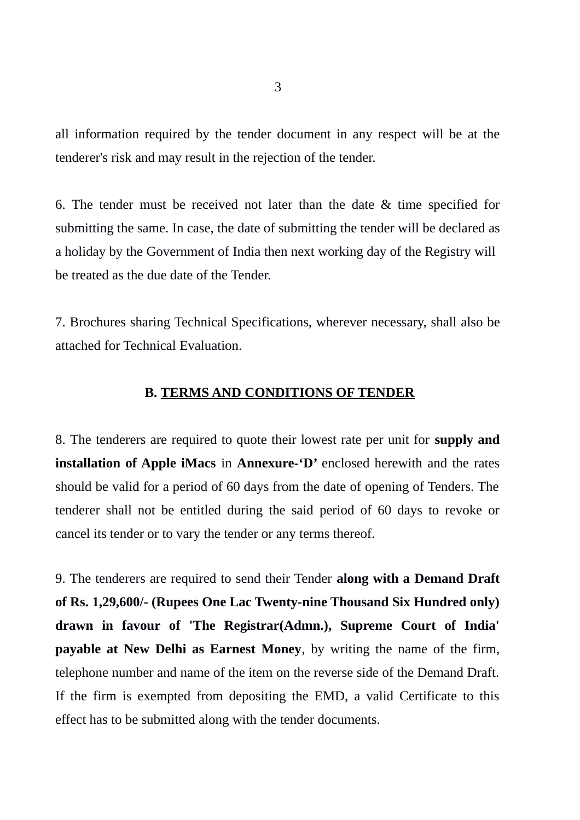all information required by the tender document in any respect will be at the tenderer's risk and may result in the rejection of the tender.

6. The tender must be received not later than the date & time specified for submitting the same. In case, the date of submitting the tender will be declared as a holiday by the Government of India then next working day of the Registry will be treated as the due date of the Tender.

7. Brochures sharing Technical Specifications, wherever necessary, shall also be attached for Technical Evaluation.

#### **B. TERMS AND CONDITIONS OF TENDER**

8. The tenderers are required to quote their lowest rate per unit for **supply and installation of Apple iMacs** in **Annexure-'D'** enclosed herewith and the rates should be valid for a period of 60 days from the date of opening of Tenders. The tenderer shall not be entitled during the said period of 60 days to revoke or cancel its tender or to vary the tender or any terms thereof.

9. The tenderers are required to send their Tender **along with a Demand Draft of Rs. 1,29,600/- (Rupees One Lac Twenty-nine Thousand Six Hundred only) drawn in favour of 'The Registrar(Admn.), Supreme Court of India' payable at New Delhi as Earnest Money**, by writing the name of the firm, telephone number and name of the item on the reverse side of the Demand Draft. If the firm is exempted from depositing the EMD, a valid Certificate to this effect has to be submitted along with the tender documents.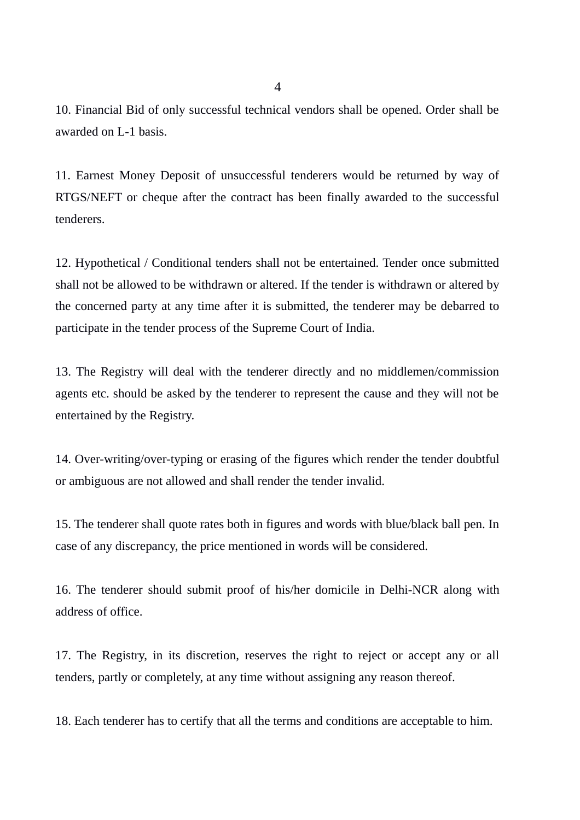10. Financial Bid of only successful technical vendors shall be opened. Order shall be awarded on L-1 basis.

11. Earnest Money Deposit of unsuccessful tenderers would be returned by way of RTGS/NEFT or cheque after the contract has been finally awarded to the successful tenderers.

12. Hypothetical / Conditional tenders shall not be entertained. Tender once submitted shall not be allowed to be withdrawn or altered. If the tender is withdrawn or altered by the concerned party at any time after it is submitted, the tenderer may be debarred to participate in the tender process of the Supreme Court of India.

13. The Registry will deal with the tenderer directly and no middlemen/commission agents etc. should be asked by the tenderer to represent the cause and they will not be entertained by the Registry.

14. Over-writing/over-typing or erasing of the figures which render the tender doubtful or ambiguous are not allowed and shall render the tender invalid.

15. The tenderer shall quote rates both in figures and words with blue/black ball pen. In case of any discrepancy, the price mentioned in words will be considered.

16. The tenderer should submit proof of his/her domicile in Delhi-NCR along with address of office.

17. The Registry, in its discretion, reserves the right to reject or accept any or all tenders, partly or completely, at any time without assigning any reason thereof.

18. Each tenderer has to certify that all the terms and conditions are acceptable to him.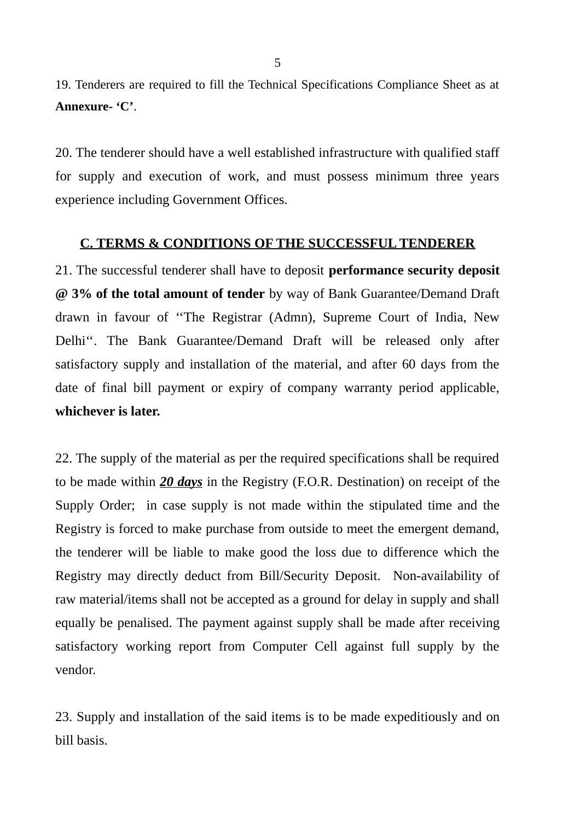19. Tenderers are required to fill the Technical Specifications Compliance Sheet as at **Annexure- 'C'**.

20. The tenderer should have a well established infrastructure with qualified staff for supply and execution of work, and must possess minimum three years experience including Government Offices.

#### **C. TERMS & CONDITIONS OF THE SUCCESSFUL TENDERER**

21. The successful tenderer shall have to deposit **performance security deposit @ 3% of the total amount of tender** by way of Bank Guarantee/Demand Draft drawn in favour of ''The Registrar (Admn), Supreme Court of India, New Delhi''. The Bank Guarantee/Demand Draft will be released only after satisfactory supply and installation of the material, and after 60 days from the date of final bill payment or expiry of company warranty period applicable, **whichever is later.**

22. The supply of the material as per the required specifications shall be required to be made within *20 days* in the Registry (F.O.R. Destination) on receipt of the Supply Order; in case supply is not made within the stipulated time and the Registry is forced to make purchase from outside to meet the emergent demand, the tenderer will be liable to make good the loss due to difference which the Registry may directly deduct from Bill/Security Deposit. Non-availability of raw material/items shall not be accepted as a ground for delay in supply and shall equally be penalised. The payment against supply shall be made after receiving satisfactory working report from Computer Cell against full supply by the vendor.

23. Supply and installation of the said items is to be made expeditiously and on bill basis.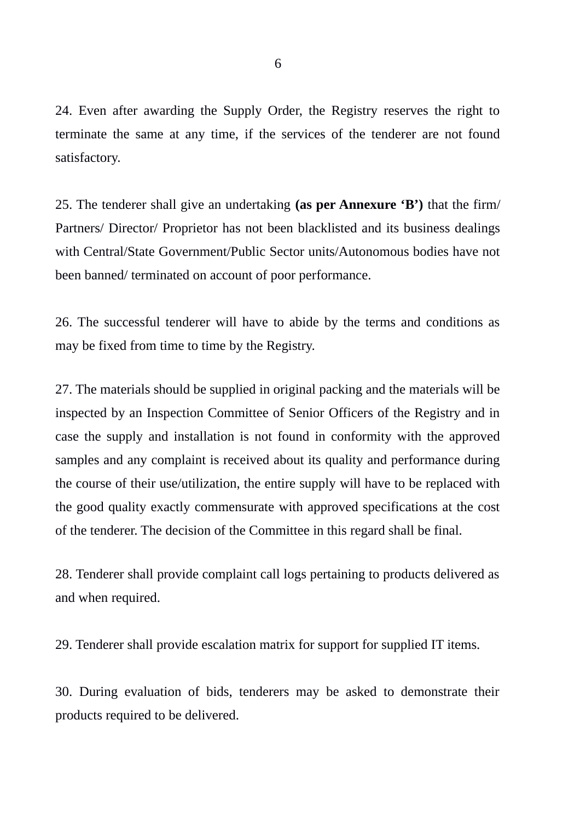24. Even after awarding the Supply Order, the Registry reserves the right to terminate the same at any time, if the services of the tenderer are not found satisfactory.

25. The tenderer shall give an undertaking **(as per Annexure 'B')** that the firm/ Partners/ Director/ Proprietor has not been blacklisted and its business dealings with Central/State Government/Public Sector units/Autonomous bodies have not been banned/ terminated on account of poor performance.

26. The successful tenderer will have to abide by the terms and conditions as may be fixed from time to time by the Registry.

27. The materials should be supplied in original packing and the materials will be inspected by an Inspection Committee of Senior Officers of the Registry and in case the supply and installation is not found in conformity with the approved samples and any complaint is received about its quality and performance during the course of their use/utilization, the entire supply will have to be replaced with the good quality exactly commensurate with approved specifications at the cost of the tenderer. The decision of the Committee in this regard shall be final.

28. Tenderer shall provide complaint call logs pertaining to products delivered as and when required.

29. Tenderer shall provide escalation matrix for support for supplied IT items.

30. During evaluation of bids, tenderers may be asked to demonstrate their products required to be delivered.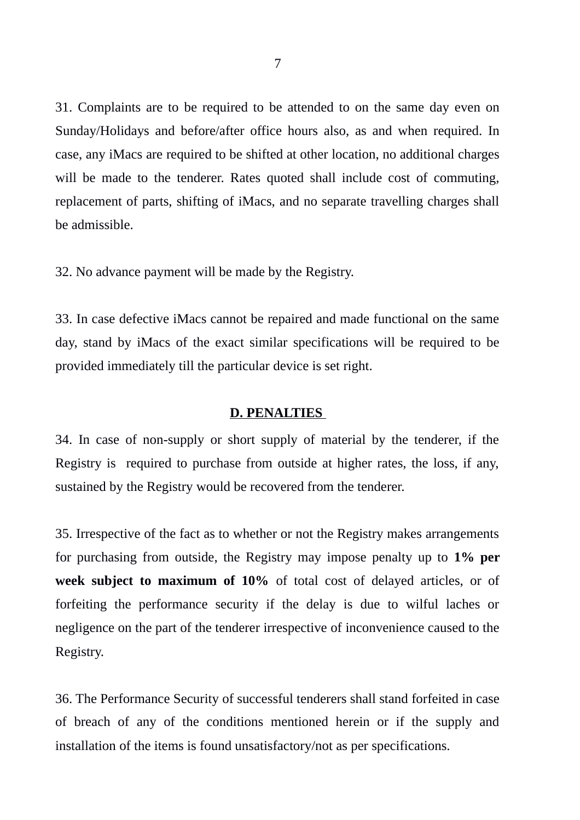31. Complaints are to be required to be attended to on the same day even on Sunday/Holidays and before/after office hours also, as and when required. In case, any iMacs are required to be shifted at other location, no additional charges will be made to the tenderer. Rates quoted shall include cost of commuting, replacement of parts, shifting of iMacs, and no separate travelling charges shall be admissible.

32. No advance payment will be made by the Registry.

33. In case defective iMacs cannot be repaired and made functional on the same day, stand by iMacs of the exact similar specifications will be required to be provided immediately till the particular device is set right.

#### **D. PENALTIES**

34. In case of non-supply or short supply of material by the tenderer, if the Registry is required to purchase from outside at higher rates, the loss, if any, sustained by the Registry would be recovered from the tenderer.

35. Irrespective of the fact as to whether or not the Registry makes arrangements for purchasing from outside, the Registry may impose penalty up to **1% per week subject to maximum of 10%** of total cost of delayed articles, or of forfeiting the performance security if the delay is due to wilful laches or negligence on the part of the tenderer irrespective of inconvenience caused to the Registry.

36. The Performance Security of successful tenderers shall stand forfeited in case of breach of any of the conditions mentioned herein or if the supply and installation of the items is found unsatisfactory/not as per specifications.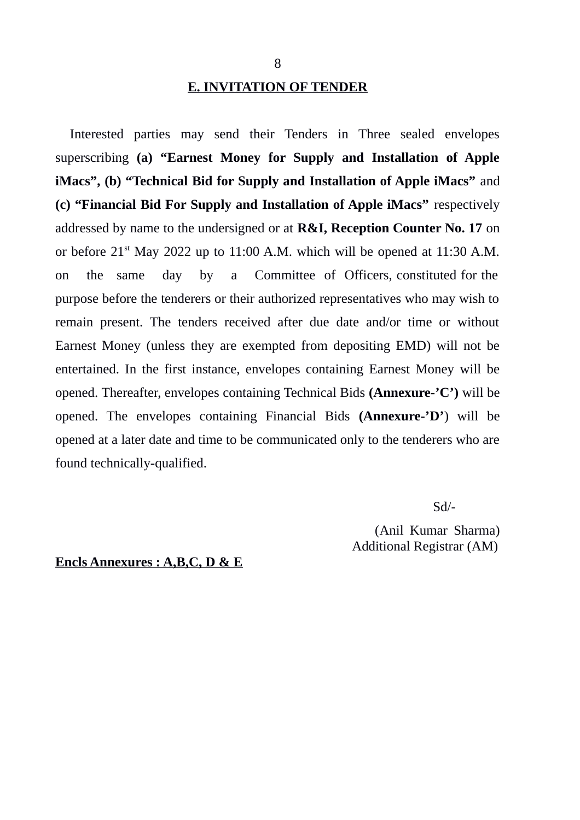# **E. INVITATION OF TENDER**

Interested parties may send their Tenders in Three sealed envelopes superscribing **(a) "Earnest Money for Supply and Installation of Apple iMacs", (b) "Technical Bid for Supply and Installation of Apple iMacs"** and **(c) "Financial Bid For Supply and Installation of Apple iMacs"** respectively addressed by name to the undersigned or at **R&I, Reception Counter No. 17** on or before  $21<sup>st</sup>$  May 2022 up to 11:00 A.M. which will be opened at 11:30 A.M. on the same day by a Committee of Officers, constituted for the purpose before the tenderers or their authorized representatives who may wish to remain present. The tenders received after due date and/or time or without Earnest Money (unless they are exempted from depositing EMD) will not be entertained. In the first instance, envelopes containing Earnest Money will be opened. Thereafter, envelopes containing Technical Bids **(Annexure-'C')** will be opened. The envelopes containing Financial Bids **(Annexure-'D'**) will be opened at a later date and time to be communicated only to the tenderers who are found technically-qualified.

Sd/-

 (Anil Kumar Sharma) Additional Registrar (AM)

**Encls Annexures : A,B,C, D & E**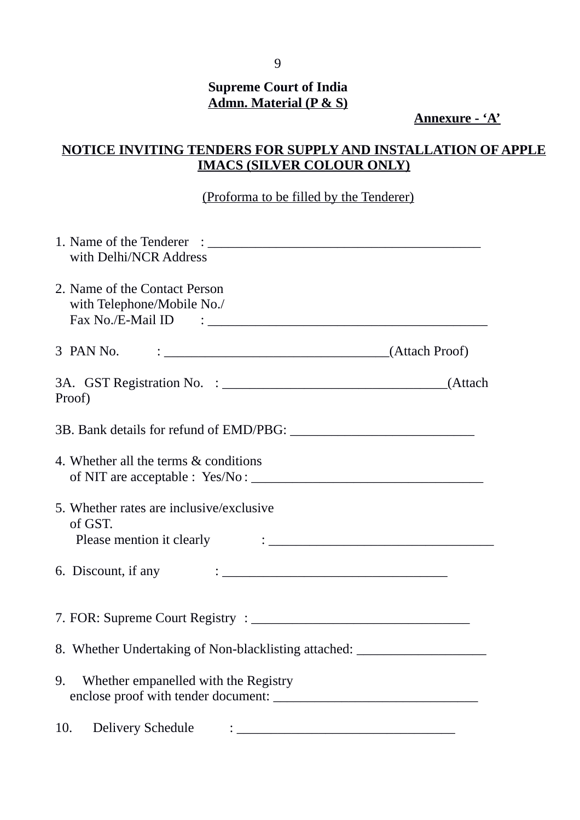# **Supreme Court of India Admn. Material (P & S)**

**Annexure - 'A'**

# **NOTICE INVITING TENDERS FOR SUPPLY AND INSTALLATION OF APPLE IMACS (SILVER COLOUR ONLY)**

# (Proforma to be filled by the Tenderer)

| with Delhi/NCR Address                                                                                                                                                                                                                                 |  |
|--------------------------------------------------------------------------------------------------------------------------------------------------------------------------------------------------------------------------------------------------------|--|
| 2. Name of the Contact Person<br>with Telephone/Mobile No./                                                                                                                                                                                            |  |
| 3 PAN No.                                                                                                                                                                                                                                              |  |
| Proof)                                                                                                                                                                                                                                                 |  |
|                                                                                                                                                                                                                                                        |  |
| 4. Whether all the terms & conditions                                                                                                                                                                                                                  |  |
| 5. Whether rates are inclusive/exclusive<br>of GST.<br>Please mention it clearly $\cdot$ .                                                                                                                                                             |  |
| 6. Discount, if any<br>$\ddotsc$ . The contract of the contract of the contract of the contract of the contract of the contract of the contract of the contract of the contract of the contract of the contract of the contract of the contract of the |  |
|                                                                                                                                                                                                                                                        |  |
| 8. Whether Undertaking of Non-blacklisting attached: ___________________________                                                                                                                                                                       |  |
| Whether empanelled with the Registry<br>9.                                                                                                                                                                                                             |  |
| <b>Delivery Schedule</b><br>10.                                                                                                                                                                                                                        |  |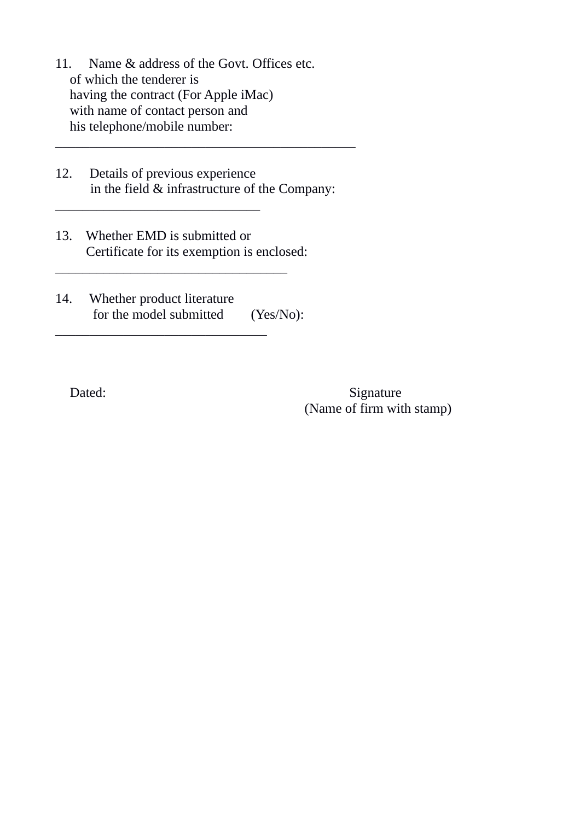- 11. Name & address of the Govt. Offices etc. of which the tenderer is having the contract (For Apple iMac) with name of contact person and his telephone/mobile number:
- 12. Details of previous experience in the field & infrastructure of the Company:

\_\_\_\_\_\_\_\_\_\_\_\_\_\_\_\_\_\_\_\_\_\_\_\_\_\_\_\_\_\_\_\_\_\_\_\_\_\_\_\_\_\_\_\_

13. Whether EMD is submitted or Certificate for its exemption is enclosed:

 $\_$ 

\_\_\_\_\_\_\_\_\_\_\_\_\_\_\_\_\_\_\_\_\_\_\_\_\_\_\_\_\_\_\_

 $\overline{\phantom{a}}$  , which is the set of the set of the set of the set of the set of the set of the set of the set of the set of the set of the set of the set of the set of the set of the set of the set of the set of the set of

14. Whether product literature for the model submitted (Yes/No):

Dated: Signature (Name of firm with stamp)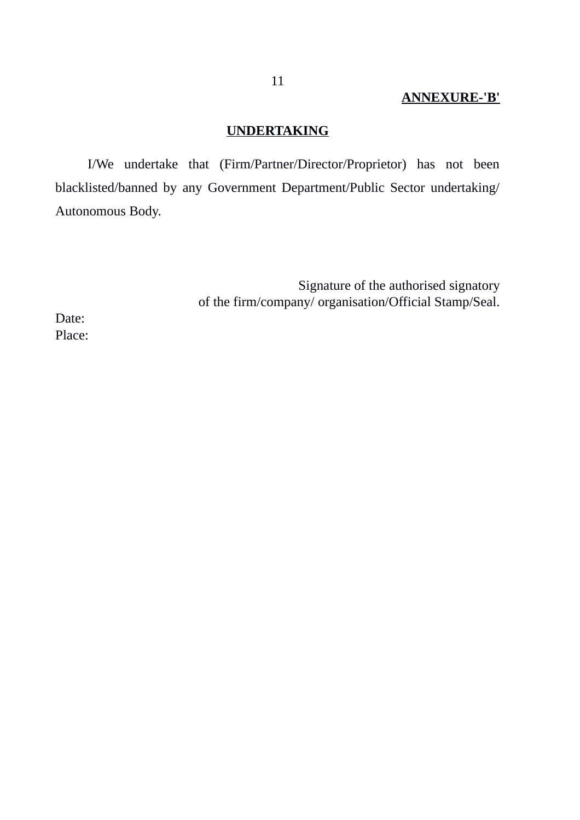# **ANNEXURE-'B'**

# **UNDERTAKING**

I/We undertake that (Firm/Partner/Director/Proprietor) has not been blacklisted/banned by any Government Department/Public Sector undertaking/ Autonomous Body.

> Signature of the authorised signatory of the firm/company/ organisation/Official Stamp/Seal.

Date: Place: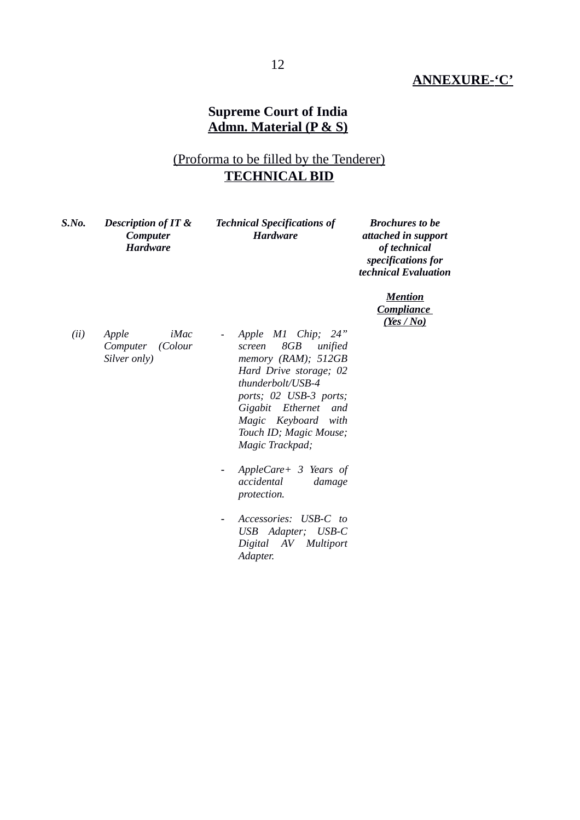### **ANNEXURE-'C'**

### **Supreme Court of India Admn. Material (P & S)**

# (Proforma to be filled by the Tenderer) **TECHNICAL BID**

| S.No. | <b>Description of IT &amp;</b><br>Computer<br><b>Hardware</b> | <b>Technical Specifications of</b><br><b>Hardware</b>                                                                                                                                                                                                                           | <b>Brochures to be</b><br>attached in support<br>of technical<br>specifications for<br>technical Evaluation |  |
|-------|---------------------------------------------------------------|---------------------------------------------------------------------------------------------------------------------------------------------------------------------------------------------------------------------------------------------------------------------------------|-------------------------------------------------------------------------------------------------------------|--|
|       |                                                               |                                                                                                                                                                                                                                                                                 | <b>Mention</b><br><b>Compliance</b><br><u>(Yes / No)</u>                                                    |  |
| (ii)  | iMac<br>Apple<br>(Colour<br>Computer<br>Silver only)          | Apple M1 Chip;<br>24"<br>$\overline{\phantom{a}}$<br>8GB<br>unified<br>screen<br>memory (RAM); 512GB<br>Hard Drive storage; 02<br>thunderbolt/USB-4<br>ports; 02 USB-3 ports;<br>Gigabit Ethernet<br>and<br>Magic Keyboard<br>with<br>Touch ID; Magic Mouse;<br>Magic Trackpad; |                                                                                                             |  |
|       |                                                               | AppleCare+ 3 Years of<br>accidental<br>damage<br>protection.                                                                                                                                                                                                                    |                                                                                                             |  |
|       |                                                               | Accessories: USB-C to<br>USB Adapter; USB-C<br>AV Multiport<br>Digital<br>Adapter.                                                                                                                                                                                              |                                                                                                             |  |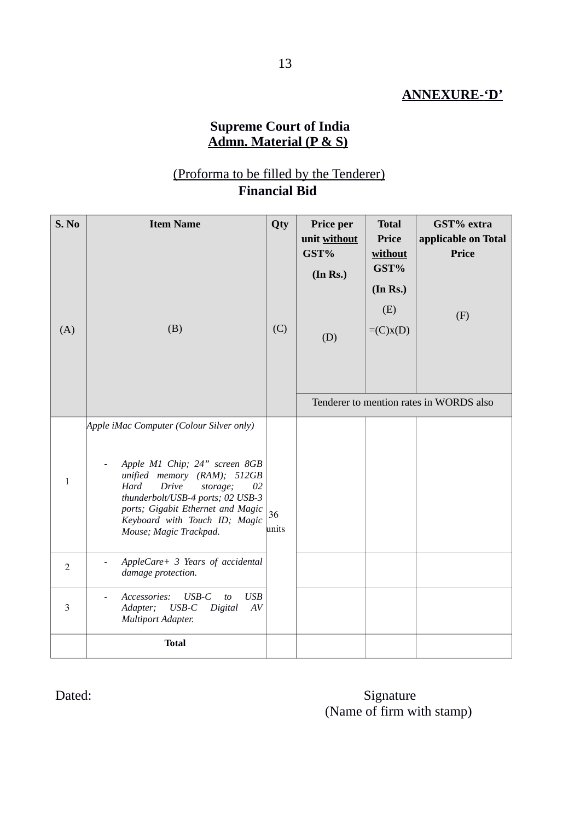## **ANNEXURE-'D'**

### **Supreme Court of India Admn. Material (P & S)**

## (Proforma to be filled by the Tenderer) **Financial Bid**

| S. No<br>(A) | <b>Item Name</b><br>(B)                                                                                                                                                                                                                                                                         | Qty<br>(C) | Price per<br>unit without<br>GST%<br>(In Rs.)<br>(D) | <b>Total</b><br><b>Price</b><br>without<br>GST%<br>(In Rs.)<br>(E)<br>$=(C)x(D)$ | GST% extra<br>applicable on Total<br><b>Price</b><br>(F) |
|--------------|-------------------------------------------------------------------------------------------------------------------------------------------------------------------------------------------------------------------------------------------------------------------------------------------------|------------|------------------------------------------------------|----------------------------------------------------------------------------------|----------------------------------------------------------|
|              |                                                                                                                                                                                                                                                                                                 |            | Tenderer to mention rates in WORDS also              |                                                                                  |                                                          |
| $\mathbf{1}$ | Apple iMac Computer (Colour Silver only)<br>Apple M1 Chip; 24" screen 8GB<br>unified memory (RAM); 512GB<br>Drive<br>Hard<br>storage;<br>02<br>thunderbolt/USB-4 ports; 02 USB-3<br>ports; Gigabit Ethernet and Magic<br>36<br>Keyboard with Touch ID; Magic<br>units<br>Mouse; Magic Trackpad. |            |                                                      |                                                                                  |                                                          |
| 2            | AppleCare+ 3 Years of accidental<br>damage protection.                                                                                                                                                                                                                                          |            |                                                      |                                                                                  |                                                          |
| 3            | <b>USB</b><br>Accessories:<br>$USB-C$<br>to<br>Adapter;<br>$\ensuremath{USB}\xspace$ -C<br>Digital<br>$\boldsymbol{A}\boldsymbol{V}$<br>Multiport Adapter.                                                                                                                                      |            |                                                      |                                                                                  |                                                          |
|              | <b>Total</b>                                                                                                                                                                                                                                                                                    |            |                                                      |                                                                                  |                                                          |

# Dated: Signature (Name of firm with stamp)